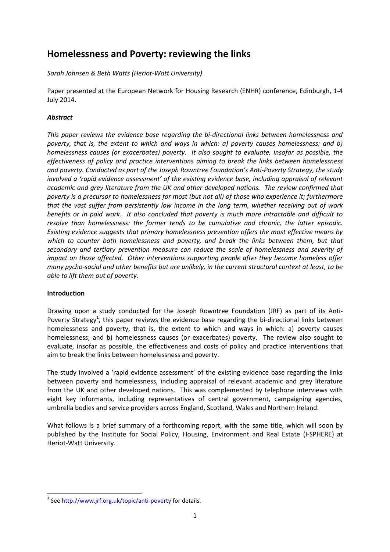# **Homelessness and Poverty: reviewing the links**

*Sarah Johnsen & Beth Watts (Heriot-Watt University)*

Paper presented at the European Network for Housing Research (ENHR) conference, Edinburgh, 1-4 July 2014.

## *Abstract*

*This paper reviews the evidence base regarding the bi-directional links between homelessness and poverty, that is, the extent to which and ways in which: a) poverty causes homelessness; and b) homelessness causes (or exacerbates) poverty. It also sought to evaluate, insofar as possible, the effectiveness of policy and practice interventions aiming to break the links between homelessness and poverty. Conducted as part of the Joseph Rowntree Foundation's Anti-Poverty Strategy, the study involved a 'rapid evidence assessment' of the existing evidence base, including appraisal of relevant academic and grey literature from the UK and other developed nations. The review confirmed that poverty is a precursor to homelessness for most (but not all) of those who experience it; furthermore that the vast suffer from persistently low income in the long term, whether receiving out of work benefits or in paid work. It also concluded that poverty is much more intractable and difficult to resolve than homelessness: the former tends to be cumulative and chronic, the latter episodic. Existing evidence suggests that primary homelessness prevention offers the most effective means by which to counter both homelessness and poverty, and break the links between them, but that secondary and tertiary prevention measure can reduce the scale of homelessness and severity of impact on those affected. Other interventions supporting people after they become homeless offer many pycho-social and other benefits but are unlikely, in the current structural context at least, to be able to lift them out of poverty.*

#### **Introduction**

Drawing upon a study conducted for the Joseph Rowntree Foundation (JRF) as part of its Anti-Poverty Strategy<sup>1</sup>, this paper reviews the evidence base regarding the bi-directional links between homelessness and poverty, that is, the extent to which and ways in which: a) poverty causes homelessness; and b) homelessness causes (or exacerbates) poverty. The review also sought to evaluate, insofar as possible, the effectiveness and costs of policy and practice interventions that aim to break the links between homelessness and poverty.

The study involved a 'rapid evidence assessment' of the existing evidence base regarding the links between poverty and homelessness, including appraisal of relevant academic and grey literature from the UK and other developed nations. This was complemented by telephone interviews with eight key informants, including representatives of central government, campaigning agencies, umbrella bodies and service providers across England, Scotland, Wales and Northern Ireland.

What follows is a brief summary of a forthcoming report, with the same title, which will soon by published by the Institute for Social Policy, Housing, Environment and Real Estate (I-SPHERE) at Heriot-Watt University.

**<sup>.</sup>** <sup>1</sup> See<http://www.jrf.org.uk/topic/anti-poverty> for details.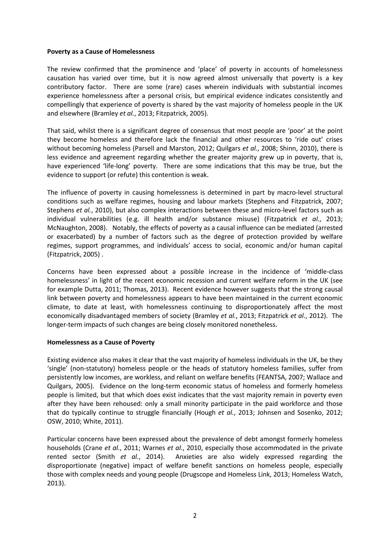#### **Poverty as a Cause of Homelessness**

The review confirmed that the prominence and 'place' of poverty in accounts of homelessness causation has varied over time, but it is now agreed almost universally that poverty is a key contributory factor. There are some (rare) cases wherein individuals with substantial incomes experience homelessness after a personal crisis, but empirical evidence indicates consistently and compellingly that experience of poverty is shared by the vast majority of homeless people in the UK and elsewhere (Bramley *et al.*, 2013; Fitzpatrick, 2005).

That said, whilst there is a significant degree of consensus that most people are 'poor' at the point they become homeless and therefore lack the financial and other resources to 'ride out' crises without becoming homeless (Parsell and Marston, 2012; Quilgars *et al.*, 2008; Shinn, 2010), there is less evidence and agreement regarding whether the greater majority grew up in poverty, that is, have experienced 'life-long' poverty. There are some indications that this may be true, but the evidence to support (or refute) this contention is weak.

The influence of poverty in causing homelessness is determined in part by macro-level structural conditions such as welfare regimes, housing and labour markets (Stephens and Fitzpatrick, 2007; Stephens *et al.*, 2010), but also complex interactions between these and micro-level factors such as individual vulnerabilities (e.g. ill health and/or substance misuse) (Fitzpatrick *et al.*, 2013; McNaughton, 2008). Notably, the effects of poverty as a causal influence can be mediated (arrested or exacerbated) by a number of factors such as the degree of protection provided by welfare regimes, support programmes, and individuals' access to social, economic and/or human capital (Fitzpatrick, 2005) .

Concerns have been expressed about a possible increase in the incidence of 'middle-class homelessness' in light of the recent economic recession and current welfare reform in the UK (see for example Dutta, 2011; Thomas, 2013). Recent evidence however suggests that the strong causal link between poverty and homelessness appears to have been maintained in the current economic climate, to date at least, with homelessness continuing to disproportionately affect the most economically disadvantaged members of society (Bramley *et al.*, 2013; Fitzpatrick *et al.*, 2012). The longer-term impacts of such changes are being closely monitored nonetheless.

#### **Homelessness as a Cause of Poverty**

Existing evidence also makes it clear that the vast majority of homeless individuals in the UK, be they 'single' (non-statutory) homeless people or the heads of statutory homeless families, suffer from persistently low incomes, are workless, and reliant on welfare benefits (FEANTSA, 2007; Wallace and Quilgars, 2005). Evidence on the long-term economic status of homeless and formerly homeless people is limited, but that which does exist indicates that the vast majority remain in poverty even after they have been rehoused: only a small minority participate in the paid workforce and those that do typically continue to struggle financially (Hough *et al.*, 2013; Johnsen and Sosenko, 2012; OSW, 2010; White, 2011).

Particular concerns have been expressed about the prevalence of debt amongst formerly homeless households (Crane *et al.*, 2011; Warnes *et al.*, 2010, especially those accommodated in the private rented sector (Smith *et al.*, 2014). Anxieties are also widely expressed regarding the disproportionate (negative) impact of welfare benefit sanctions on homeless people, especially those with complex needs and young people (Drugscope and Homeless Link, 2013; Homeless Watch, 2013).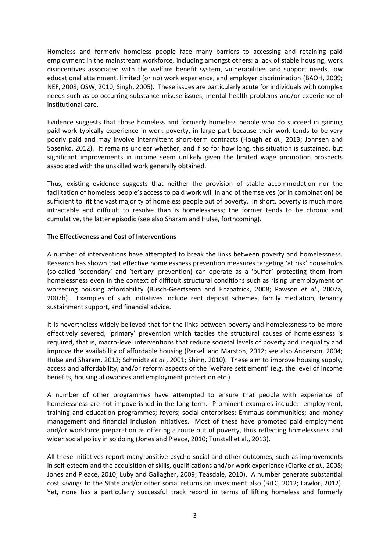Homeless and formerly homeless people face many barriers to accessing and retaining paid employment in the mainstream workforce, including amongst others: a lack of stable housing, work disincentives associated with the welfare benefit system, vulnerabilities and support needs, low educational attainment, limited (or no) work experience, and employer discrimination (BAOH, 2009; NEF, 2008; OSW, 2010; Singh, 2005). These issues are particularly acute for individuals with complex needs such as co-occurring substance misuse issues, mental health problems and/or experience of institutional care.

Evidence suggests that those homeless and formerly homeless people who do succeed in gaining paid work typically experience in-work poverty, in large part because their work tends to be very poorly paid and may involve intermittent short-term contracts (Hough *et al.*, 2013; Johnsen and Sosenko, 2012). It remains unclear whether, and if so for how long, this situation is sustained, but significant improvements in income seem unlikely given the limited wage promotion prospects associated with the unskilled work generally obtained.

Thus, existing evidence suggests that neither the provision of stable accommodation nor the facilitation of homeless people's access to paid work will in and of themselves (or in combination) be sufficient to lift the vast majority of homeless people out of poverty. In short, poverty is much more intractable and difficult to resolve than is homelessness; the former tends to be chronic and cumulative, the latter episodic (see also Sharam and Hulse, forthcoming).

### **The Effectiveness and Cost of Interventions**

A number of interventions have attempted to break the links between poverty and homelessness. Research has shown that effective homelessness prevention measures targeting 'at risk' households (so-called 'secondary' and 'tertiary' prevention) can operate as a 'buffer' protecting them from homelessness even in the context of difficult structural conditions such as rising unemployment or worsening housing affordability (Busch-Geertsema and Fitzpatrick, 2008; Pawson *et al.*, 2007a, 2007b). Examples of such initiatives include rent deposit schemes, family mediation, tenancy sustainment support, and financial advice.

It is nevertheless widely believed that for the links between poverty and homelessness to be more effectively severed, 'primary' prevention which tackles the structural causes of homelessness is required, that is, macro-level interventions that reduce societal levels of poverty and inequality and improve the availability of affordable housing (Parsell and Marston, 2012; see also Anderson, 2004; Hulse and Sharam, 2013; Schmidtz *et al.*, 2001; Shinn, 2010). These aim to improve housing supply, access and affordability, and/or reform aspects of the 'welfare settlement' (e.g. the level of income benefits, housing allowances and employment protection etc.)

A number of other programmes have attempted to ensure that people with experience of homelessness are not impoverished in the long term. Prominent examples include: employment, training and education programmes; foyers; social enterprises; Emmaus communities; and money management and financial inclusion initiatives. Most of these have promoted paid employment and/or workforce preparation as offering a route out of poverty, thus reflecting homelessness and wider social policy in so doing (Jones and Pleace, 2010; Tunstall et al., 2013).

All these initiatives report many positive psycho-social and other outcomes, such as improvements in self-esteem and the acquisition of skills, qualifications and/or work experience (Clarke *et al.*, 2008; Jones and Pleace, 2010; Luby and Gallagher, 2009; Teasdale, 2010). A number generate substantial cost savings to the State and/or other social returns on investment also (BiTC, 2012; Lawlor, 2012). Yet, none has a particularly successful track record in terms of lifting homeless and formerly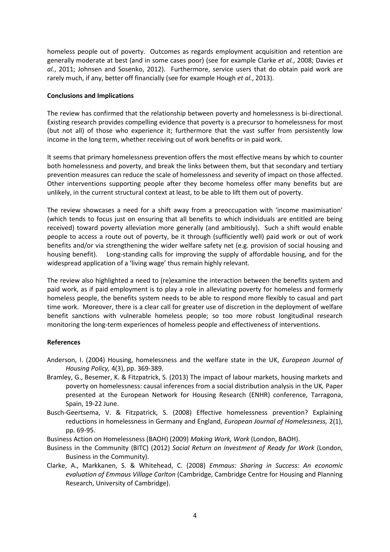homeless people out of poverty. Outcomes as regards employment acquisition and retention are generally moderate at best (and in some cases poor) (see for example Clarke *et al.*, 2008; Davies *et al.*, 2011; Johnsen and Sosenko, 2012). Furthermore, service users that do obtain paid work are rarely much, if any, better off financially (see for example Hough *et al.*, 2013).

#### **Conclusions and Implications**

The review has confirmed that the relationship between poverty and homelessness is bi-directional. Existing research provides compelling evidence that poverty is a precursor to homelessness for most (but not all) of those who experience it; furthermore that the vast suffer from persistently low income in the long term, whether receiving out of work benefits or in paid work.

It seems that primary homelessness prevention offers the most effective means by which to counter both homelessness and poverty, and break the links between them, but that secondary and tertiary prevention measures can reduce the scale of homelessness and severity of impact on those affected. Other interventions supporting people after they become homeless offer many benefits but are unlikely, in the current structural context at least, to be able to lift them out of poverty.

The review showcases a need for a shift away from a preoccupation with 'income maximisation' (which tends to focus just on ensuring that all benefits to which individuals are entitled are being received) toward poverty alleviation more generally (and ambitiously). Such a shift would enable people to access a route out of poverty, be it through (sufficiently well) paid work or out of work benefits and/or via strengthening the wider welfare safety net (e.g. provision of social housing and housing benefit). Long-standing calls for improving the supply of affordable housing, and for the widespread application of a 'living wage' thus remain highly relevant.

The review also highlighted a need to (re)examine the interaction between the benefits system and paid work, as if paid employment is to play a role in alleviating poverty for homeless and formerly homeless people, the benefits system needs to be able to respond more flexibly to casual and part time work. Moreover, there is a clear call for greater use of discretion in the deployment of welfare benefit sanctions with vulnerable homeless people; so too more robust longitudinal research monitoring the long-term experiences of homeless people and effectiveness of interventions.

## **References**

- Anderson, I. (2004) Housing, homelessness and the welfare state in the UK, *European Journal of Housing Policy,* 4(3), pp. 369-389.
- Bramley, G., Besemer, K. & Fitzpatrick, S. (2013) The impact of labour markets, housing markets and poverty on homelessness: causal inferences from a social distribution analysis in the UK*,* Paper presented at the European Network for Housing Research (ENHR) conference*,* Tarragona, Spain, 19-22 June.
- Busch-Geertsema, V. & Fitzpatrick, S. (2008) Effective homelessness prevention? Explaining reductions in homelessness in Germany and England, *European Journal of Homelessness,* 2(1), pp. 69-95.
- Business Action on Homelessness (BAOH) (2009) *Making Work, Work* (London, BAOH).
- Business in the Community (BITC) (2012) *Social Return on Investment of Ready for Work* (London, Business in the Community).
- Clarke, A., Markkanen, S. & Whitehead, C. (2008) *Emmaus: Sharing in Success: An economic evaluation of Emmaus Village Carlton* (Cambridge, Cambridge Centre for Housing and Planning Research, University of Cambridge).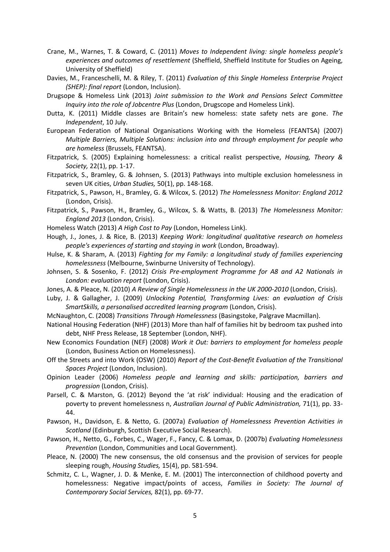- Crane, M., Warnes, T. & Coward, C. (2011) *Moves to Independent living: single homeless people's experiences and outcomes of resettlement* (Sheffield, Sheffield Institute for Studies on Ageing, University of Sheffield)
- Davies, M., Franceschelli, M. & Riley, T. (2011) *Evaluation of this Single Homeless Enterprise Project (SHEP): final report* (London, Inclusion).
- Drugsope & Homeless Link (2013) *Joint submission to the Work and Pensions Select Committee Inquiry into the role of Jobcentre Plus* (London, Drugscope and Homeless Link).
- Dutta, K. (2011) Middle classes are Britain's new homeless: state safety nets are gone. *The Independent*, 10 July.
- European Federation of National Organisations Working with the Homeless (FEANTSA) (2007) *Multiple Barriers, Multiple Solutions: inclusion into and through employment for people who are homeless* (Brussels, FEANTSA).
- Fitzpatrick, S. (2005) Explaining homelessness: a critical realist perspective, *Housing, Theory & Society,* 22(1), pp. 1-17.
- Fitzpatrick, S., Bramley, G. & Johnsen, S. (2013) Pathways into multiple exclusion homelessness in seven UK cities, *Urban Studies,* 50(1), pp. 148-168.
- Fitzpatrick, S., Pawson, H., Bramley, G. & Wilcox, S. (2012) *The Homelessness Monitor: England 2012*  (London, Crisis).
- Fitzpatrick, S., Pawson, H., Bramley, G., Wilcox, S. & Watts, B. (2013) *The Homelessness Monitor: England 2013* (London, Crisis).
- Homeless Watch (2013) *A High Cost to Pay* (London, Homeless Link).
- Hough, J., Jones, J. & Rice, B. (2013) *Keeping Work: longitudinal qualitative research on homeless people's experiences of starting and staying in work* (London, Broadway).
- Hulse, K. & Sharam, A. (2013) *Fighting for my Family: a longitudinal study of families experiencing homelessness* (Melbourne, Swinburne University of Technology).
- Johnsen, S. & Sosenko, F. (2012) *Crisis Pre-employment Programme for A8 and A2 Nationals in London: evaluation report* (London, Crisis).
- Jones, A. & Pleace, N. (2010) *A Review of Single Homelessness in the UK 2000-2010* (London, Crisis).
- Luby, J. & Gallagher, J. (2009) *Unlocking Potential, Transforming Lives: an evaluation of Crisis SmartSkills, a personalised accredited learning program* (London, Crisis).
- McNaughton, C. (2008) *Transitions Through Homelessness* (Basingstoke, Palgrave Macmillan).
- National Housing Federation (NHF) (2013) More than half of families hit by bedroom tax pushed into debt, NHF Press Release, 18 September (London, NHF).
- New Economics Foundation (NEF) (2008) *Work it Out: barriers to employment for homeless people*  (London, Business Action on Homelessness).
- Off the Streets and into Work (OSW) (2010) *Report of the Cost-Benefit Evaluation of the Transitional Spaces Project* (London, Inclusion).
- Opinion Leader (2006) *Homeless people and learning and skills: participation, barriers and progression* (London, Crisis).
- Parsell, C. & Marston, G. (2012) Beyond the 'at risk' individual: Housing and the eradication of poverty to prevent homelessness n, *Australian Journal of Public Administration,* 71(1), pp. 33- 44.
- Pawson, H., Davidson, E. & Netto, G. (2007a) *Evaluation of Homelessness Prevention Activities in Scotland* (Edinburgh, Scottish Executive Social Research).
- Pawson, H., Netto, G., Forbes, C., Wager, F., Fancy, C. & Lomax, D. (2007b) *Evaluating Homelessness Prevention* (London, Communities and Local Government).
- Pleace, N. (2000) The new consensus, the old consensus and the provision of services for people sleeping rough, *Housing Studies,* 15(4), pp. 581-594.
- Schmitz, C. L., Wagner, J. D. & Menke, E. M. (2001) The interconnection of childhood poverty and homelessness: Negative impact/points of access, *Families in Society: The Journal of Contemporary Social Services,* 82(1), pp. 69-77.